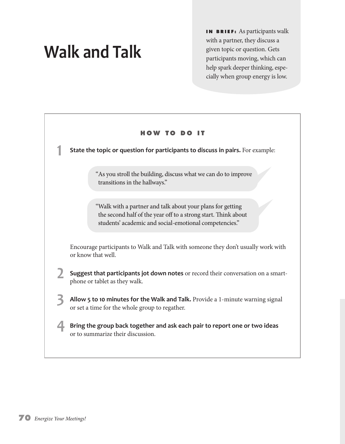## **Walk and Talk**

**<sup>i</sup> <sup>n</sup> <sup>b</sup> <sup>r</sup> <sup>i</sup> <sup>e</sup> <sup>f</sup> :** As participants walk with a partner, they discuss a given topic or question. Gets participants moving, which can help spark deeper thinking, especially when group energy is low.

## **h o w t o D o i t**

**1 State the topic or question for participants to discuss in pairs.** For example:

"As you stroll the building, discuss what we can do to improve transitions in the hallways."

"Walk with a partner and talk about your plans for getting the second half of the year off to a strong start. Think about students' academic and social-emotional competencies."

Encourage participants to Walk and Talk with someone they don't usually work with or know that well.

**2 Suggest that participants jot down notes** or record their conversation on <sup>a</sup> smartphone or tablet as they walk.

**3 Allow <sup>5</sup> to <sup>10</sup> minutes for the Walk and Talk.** Provide <sup>a</sup> 1-minute warning signal or set a time for the whole group to regather.

**4 Bring the group back together and ask each pair to report one or two ideas** or to summarize their discussion.